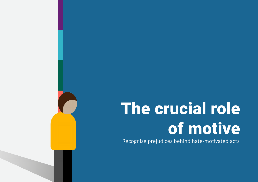# The crucial role of motive

Recognise prejudices behind hate-motivated acts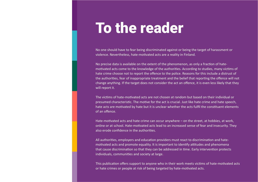## To the reader

No one should have to fear being discriminated against or being the target of harassment or violence. Nevertheless, hate-motivated acts are a reality in Finland.

No precise data is available on the extent of the phenomenon, as only a fraction of hatemotivated acts come to the knowledge of the authorities. According to studies, many victims of hate crime choose not to report the offence to the police. Reasons for this include a distrust of the authorities, fear of inappropriate treatment and the belief that reporting the offence will not change anything. If the target does not consider the act an offence, it is even less likely that they will report it.

The victims of hate-motivated acts are not chosen at random but based on their individual or presumed characteristic. The motive for the act is crucial. Just like hate crime and hate speech, hate acts are motivated by hate but it is unclear whether the acts fulfil the constituent elements of an offence.

Hate-motivated acts and hate crime can occur anywhere – on the street, at hobbies, at work, online or at school. Hate-motivated acts lead to an increased sense of fear and insecurity. They also erode confidence in the authorities.

All authorities, employers and education providers must react to discrimination and hatemotivated acts and promote equality. It is important to identify attitudes and phenomena that cause discrimination so that they can be addressed in time. Early intervention protects individuals, communities and society at large.

This publication offers support to anyone who in their work meets victims of hate-motivated acts or hate crimes or people at risk of being targeted by hate-motivated acts.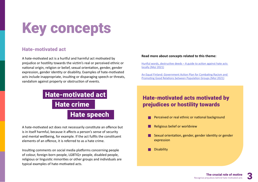# Key concepts

#### Hate-motivated act

A hate-motivated act is a hurtful and harmful act motivated by prejudice or hostility towards the victim's real or perceived ethnic or national origin, religion or belief, sexual orientation, gender, gender expression, gender identity or disability. Examples of hate-motivated acts include inappropriate, insulting or disparaging speech or threats, vandalism against property or obstruction of events.

### Hate crime Hate speech Hate-motivated act Hate-motivated acts motivated by

A hate-motivated act does not necessarily constitute an offence but is in itself harmful, because it affects a person's sense of security and mental wellbeing, for example. If the act fulfils the constituent elements of an offence, it is referred to as a hate crime.

Insulting comments on social media platforms concerning people of colour, foreign-born people, LGBTIQ+ people, disabled people, religious or linguistic minorities or other groups and individuals are typical examples of hate-motivated acts.

#### **Read more about concepts related to this theme:**

[Hurtful words, destructive deeds – A guide to action against hate acts](https://yhdenvertaisuus.fi/documents/5232670/21911124/Hurtful_words_destructive+deeds_ENG.pdf/89410521-5da7-3a41-ab93-538890a6b618/Hurtful_words_destructive+deeds_ENG.pdf?t=1637928707596)  [locally \(MoJ 2021\)](https://yhdenvertaisuus.fi/documents/5232670/21911124/Hurtful_words_destructive+deeds_ENG.pdf/89410521-5da7-3a41-ab93-538890a6b618/Hurtful_words_destructive+deeds_ENG.pdf?t=1637928707596)

[An Equal Finland: Government Action Plan for Combating Racism and](https://julkaisut.valtioneuvosto.fi/bitstream/handle/10024/163737/OM_2022_2_ML.pdf?sequence=1&isAllowed=y)  [Promoting Good Relations between Population Groups \(MoJ 2021\)](https://julkaisut.valtioneuvosto.fi/bitstream/handle/10024/163737/OM_2022_2_ML.pdf?sequence=1&isAllowed=y)

### prejudices or hostility towards

- Perceived or real ethnic or national background
- Religious belief or worldview
- Sexual orientation, gender, gender identity or gender expression
- **Disability**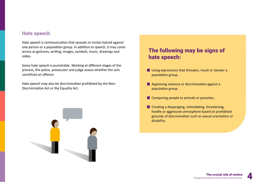#### Hate speech

Hate speech is communication that spreads or incites hatred against one person or a population group. In addition to speech, it may come across as gestures, writing, images, symbols, music, drawings and video.

Some hate speech is punishable. Working at different stages of the process, the police, prosecutor and judge assess whether the acts constitute an offence.

Hate speech may also be discrimination prohibited by the Non-Discrimination Act or the Equality Act.



### The following may be signs of hate speech:

- **Using expressions that threaten, insult or slander a** population group.
- **Approving violence or discrimination against a** population group.
- **Comparing people to animals or parasites.**
- **Creating a disparaging, intimidating, threatening,** hostile or aggressive atmosphere based on prohibited grounds of discrimination such as sexual orientation or disability.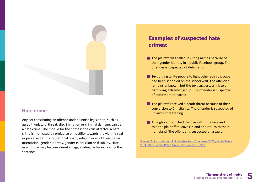#### Hate crime

Any act constituting an offence under Finnish legislation, such as assault, unlawful threat, discrimination or criminal damage, can be a hate crime. The motive for the crime is the crucial factor. A hate crime is motivated by prejudice or hostility towards the victim's real or perceived ethnic or national origin, religion or worldview, sexual orientation, gender identity, gender expression or disability. Hate as a motive may be considered an aggravating factor increasing the sentence.

### Examples of suspected hate crimes:

- $\blacksquare$  The plaintiff was called insulting names because of their gender identity in a public Facebook group. The offender is suspected of defamation.
- $\blacksquare$  Text urging white people to fight other ethnic groups had been scribbled on the school wall. The offender remains unknown, but the text suggests a link to a right-wing extremist group. The offender is suspected of incitement to hatred.
- $\blacksquare$  The plaintiff received a death threat because of their conversion to Christianity. The offender is suspected of unlawful threatening.
- A neighbour punched the plaintiff in the face and told the plaintiff to leave Finland and return to their homeland. The offender is suspected of assault.

[Source: Poliisin tietoon tullut viharikollisuus Suomessa 2020 / Jenita Rauta](https://urn.fi/URN:NBN:fi-fe2021110253250) [Publications of the Police University College 19/2021](https://urn.fi/URN:NBN:fi-fe2021110253250)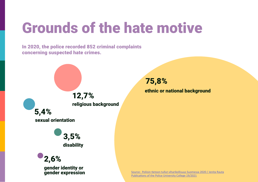# Grounds of the hate motive

In 2020, the police recorded 852 criminal complaints concerning suspected hate crimes.



75,8%

ethnic or national background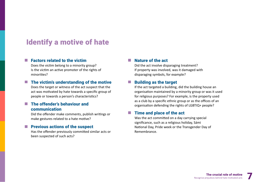### Identify a motive of hate

#### Factors related to the victim  $\sim$

Does the victim belong to a minority group? Is the victim an active promoter of the rights of minorities?

#### The victim's understanding of the motive

Does the target or witness of the act suspect that the act was motivated by hate towards a specific group of people or towards a person's characteristics?

#### The offender's behaviour and  $\mathcal{L}_{\mathcal{A}}$ communication

Did the offender make comments, publish writings or make gestures related to a hate motive?

#### Previous actions of the suspect

Has the offender previously committed similar acts or been suspected of such acts?

#### Nature of the act **Tara**

Did the act involve disparaging treatment? If property was involved, was it damaged with disparaging symbols, for example?

#### Building as the target

If the act targeted a building, did the building house an organisation maintained by a minority group or was it used for religious purposes? For example, is the property used as a club by a specific ethnic group or as the offices of an organisation defending the rights of LGBTIQ+ people?

#### Time and place of the act

Was the act committed on a day carrying special significance, such as a religious holiday, Sámi National Day, Pride week or the Transgender Day of Remembrance.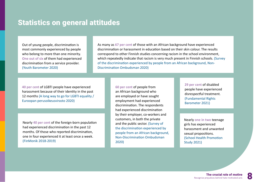### Statistics on general attitudes

Out of young people, discrimination is most commonly experienced by people who belong to more than one minority. **One out of six** of them had experienced discrimination from a service provider. (Youth Barometer 2020)

As many as **67 per cent** of those with an African background have experienced discrimination or harassment in education based on their skin colour. The results correspond to other Finnish studies concerning racism in the school environment, which repeatedly indicate that racism is very much present in Finnish schools. (Survey of the discrimination experienced by people from an African background, Non-Discrimination Ombudsman 2020)

**40 per cent** of LGBTI people have experienced harassment because of their identity in the past 12 months (A long way to go for LGBTI equality / Euroopan perusoikeusvirasto 2020)

Nearly **40 per cent** of the foreign-born population had experienced discrimination in the past 12 months. Of those who reported discrimination, one in four experienced it at least once a week. (FinMonik 2018-2019)

**60 per cent** of people from an African background who are employed or have sought employment had experienced discrimination. The respondents had experienced discrimination by their employer, co-workers and customers, in both the private and the public sector. (Survey of the discrimination experienced by people from an African background, Non-Discrimination Ombudsman 2020)

**29 per cent** of disabled people have experienced disrespectful treatment. (Fundamental Rights Barometer 2021)

Nearly **one in two** teenage girls has experienced harassment and unwanted sexual propositions. (School Health Promotion Study 2021)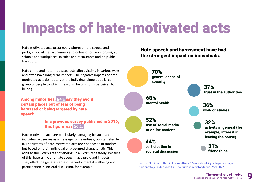# Impacts of hate-motivated acts

Hate-motivated acts occur everywhere: on the streets and in parks, in social media channels and online discussion forums, at schools and workplaces, in cafés and restaurants and on public transport.

Hate crime and hate-motivated acts affect victims in various ways and often have long-term impacts. The negative impacts of hatemotivated acts do not target the individual alone but a larger group of people to which the victim belongs or is perceived to belong.

Among minorities, 64% say they avoid certain places out of fear of being harassed or being targeted by hate speech.

#### In a previous survey published in 2016, this figure was 56%.

Hate-motivated acts are particularly damaging because an individual act serves as a message to the entire group targeted by it. The victims of hate-motivated acts are not chosen at random but based on their individual or presumed characteristic. This adds to the victim's fear of ending up a victim repeatedly. Because of this, hate crime and hate speech have profound impacts. They affect the general sense of security, mental wellbeing and participation in societal discussion, for example.

Hate speech and harassment have had the strongest impact on individuals:



Source[: "Että puututtaisiin konkreettisesti" Seurantaselvitys vihapuheesta ja](https://urn.fi/URN:ISBN:978-952-400-482-4)  [häirinnästä ja niiden vaikutuksista eri vähemmistöryhmiin, MoJ 2022](https://urn.fi/URN:ISBN:978-952-400-482-4)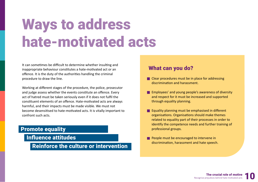# Ways to address hate-motivated acts

It can sometimes be difficult to determine whether insulting and inappropriate behaviour constitutes a hate-motivated act or an offence. It is the duty of the authorities handling the criminal procedure to draw the line.

Working at different stages of the procedure, the police, prosecutor and judge assess whether the events constitute an offence. Every act of hatred must be taken seriously even if it does not fulfil the constituent elements of an offence. Hate-motivated acts are always harmful, and their impacts must be made visible. We must not become desensitised to hate-motivated acts. It is vitally important to confront such acts.

#### Promote equality

Influence attitudes

Reinforce the culture or intervention

#### What can you do?

- **Clear procedures must be in place for addressing** discrimination and harassment.
- **Employees' and young people's awareness of diversity** and respect for it must be increased and supported through equality planning.
- **Equality planning must be emphasised in different** organisations. Organisations should make themes related to equality part of their processes in order to identify the competence needs and further training of professional groups.
- **People must be encouraged to intervene in** discrimination, harassment and hate speech.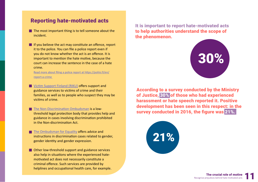#### Reporting hate-motivated acts

- $\blacksquare$  The most important thing is to tell someone about the incident.
- If you believe the act may constitute an offence, report it to the police. You can file a police report even if you do not know whether the act is an offence. It is important to mention the hate motive, because the court can increase the sentence in the case of a hate crime.

[Read more about filing a police report at https://poliisi.fi/en/](https://poliisi.fi/en/report-a-crime) [report-a-crime](https://poliisi.fi/en/report-a-crime) 

**Notain Support Finland (RIKU) offers support and** guidance services to victims of crime and their families, as well as to people who suspect they may be victims of crime.

[The Non-Discrimination Ombudsman](https://syrjinta.fi/en/front-page) is a lowthreshold legal protection body that provides help and guidance in cases involving discrimination prohibited in the Non-discrimination Act.

[The Ombudsman for Equality](https://tasa-arvo.fi/en/front-page) offers advice and instructions in discrimination cases related to gender, gender identity and gender expression.

■ Other low-threshold support and guidance services also help in situations where the experienced hatemotivated act does not necessarily constitute a criminal offence. Such services are provided by helplines and occupational health care, for example.

It is important to report hate-motivated acts to help authorities understand the scope of the phenomenon.



According to a survey conducted by the Ministry of Justice, 30% of those who had experienced harassment or hate speech reported it. Positive development has been seen in this respect: in the survey conducted in 2016, the figure was 21%.